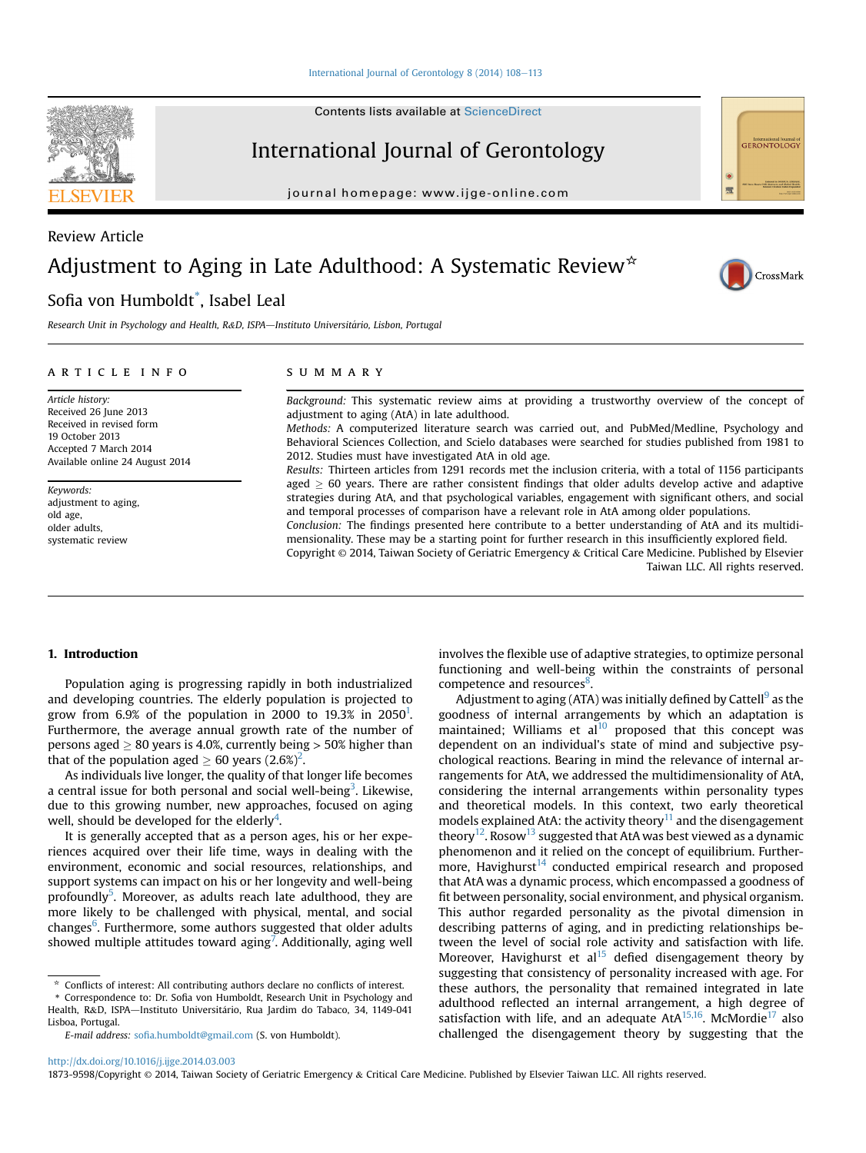#### [International Journal of Gerontology 8 \(2014\) 108](http://dx.doi.org/10.1016/j.ijge.2014.03.003)-[113](http://dx.doi.org/10.1016/j.ijge.2014.03.003)

Contents lists available at ScienceDirect

# International Journal of Gerontology

journal homepage: [www.ijge-online.com](http://www.ijge-online.com)

# Review Article Adjustment to Aging in Late Adulthood: A Systematic Review<sup>\*</sup>

# Sofia von Humboldt\* , Isabel Leal

Research Unit in Psychology and Health, R&D, ISPA-Instituto Universitário, Lisbon, Portugal

#### article info

Article history: Received 26 June 2013 Received in revised form 19 October 2013 Accepted 7 March 2014 Available online 24 August 2014

Keywords: adjustment to aging, old age, older adults, systematic review

#### summary

Background: This systematic review aims at providing a trustworthy overview of the concept of adjustment to aging (AtA) in late adulthood.

Methods: A computerized literature search was carried out, and PubMed/Medline, Psychology and Behavioral Sciences Collection, and Scielo databases were searched for studies published from 1981 to 2012. Studies must have investigated AtA in old age.

Results: Thirteen articles from 1291 records met the inclusion criteria, with a total of 1156 participants aged  $\geq$  60 years. There are rather consistent findings that older adults develop active and adaptive strategies during AtA, and that psychological variables, engagement with significant others, and social and temporal processes of comparison have a relevant role in AtA among older populations.

Conclusion: The findings presented here contribute to a better understanding of AtA and its multidimensionality. These may be a starting point for further research in this insufficiently explored field. Copyright © 2014, Taiwan Society of Geriatric Emergency & Critical Care Medicine. Published by Elsevier

Taiwan LLC. All rights reserved.

# 1. Introduction

Population aging is progressing rapidly in both industrialized and developing countries. The elderly population is projected to grow from 6.9% of the population in 2000 to 19.3% in 2050<sup>1</sup>. Furthermore, the average annual growth rate of the number of persons aged  $\geq 80$  years is 4.0%, currently being  $> 50\%$  higher than that of the population aged  $\geq 60$  years  $(2.6\%)^2$  $(2.6\%)^2$  $(2.6\%)^2$ .

As individuals live longer, the quality of that longer life becomes a central issue for both personal and social well-being<sup>[3](#page-4-0)</sup>. Likewise, due to this growing number, new approaches, focused on aging well, should be developed for the elderly<sup>[4](#page-4-0)</sup>.

It is generally accepted that as a person ages, his or her experiences acquired over their life time, ways in dealing with the environment, economic and social resources, relationships, and support systems can impact on his or her longevity and well-being profoundly<sup>[5](#page-4-0)</sup>. Moreover, as adults reach late adulthood, they are more likely to be challenged with physical, mental, and social changes<sup>[6](#page-4-0)</sup>. Furthermore, some authors suggested that older adults showed multiple attitudes toward aging<sup>[7](#page-4-0)</sup>. Additionally, aging well

E-mail address: sofi[a.humboldt@gmail.com](mailto:sofia.humboldt@gmail.com) (S. von Humboldt).

involves the flexible use of adaptive strategies, to optimize personal functioning and well-being within the constraints of personal competence and resources<sup>[8](#page-4-0)</sup>.

Adjustment to aging (ATA) was initially defined by Cattell<sup>[9](#page-4-0)</sup> as the goodness of internal arrangements by which an adaptation is maintained; Williams et  $al^{10}$  $al^{10}$  $al^{10}$  proposed that this concept was dependent on an individual's state of mind and subjective psychological reactions. Bearing in mind the relevance of internal arrangements for AtA, we addressed the multidimensionality of AtA, considering the internal arrangements within personality types and theoretical models. In this context, two early theoretical models explained AtA: the activity theory $11$  and the disengagement theory<sup>12</sup>. Rosow<sup>13</sup> suggested that AtA was best viewed as a dynamic phenomenon and it relied on the concept of equilibrium. Furthermore, Havighurst $14$  conducted empirical research and proposed that AtA was a dynamic process, which encompassed a goodness of fit between personality, social environment, and physical organism. This author regarded personality as the pivotal dimension in describing patterns of aging, and in predicting relationships between the level of social role activity and satisfaction with life. Moreover, Havighurst et al<sup>[15](#page-5-0)</sup> defied disengagement theory by suggesting that consistency of personality increased with age. For these authors, the personality that remained integrated in late adulthood reflected an internal arrangement, a high degree of satisfaction with life, and an adequate  $A<sup>15,16</sup>$ . McMordie<sup>[17](#page-5-0)</sup> also challenged the disengagement theory by suggesting that the

<http://dx.doi.org/10.1016/j.ijge.2014.03.003>





CrossMark

<sup>\*</sup> Conflicts of interest: All contributing authors declare no conflicts of interest.

<sup>\*</sup> Correspondence to: Dr. Sofia von Humboldt, Research Unit in Psychology and Health, R&D, ISPA—Instituto Universitário, Rua Jardim do Tabaco, 34, 1149-041 Lisboa, Portugal.

<sup>1873-9598/</sup>Copyright © 2014, Taiwan Society of Geriatric Emergency & Critical Care Medicine. Published by Elsevier Taiwan LLC. All rights reserved.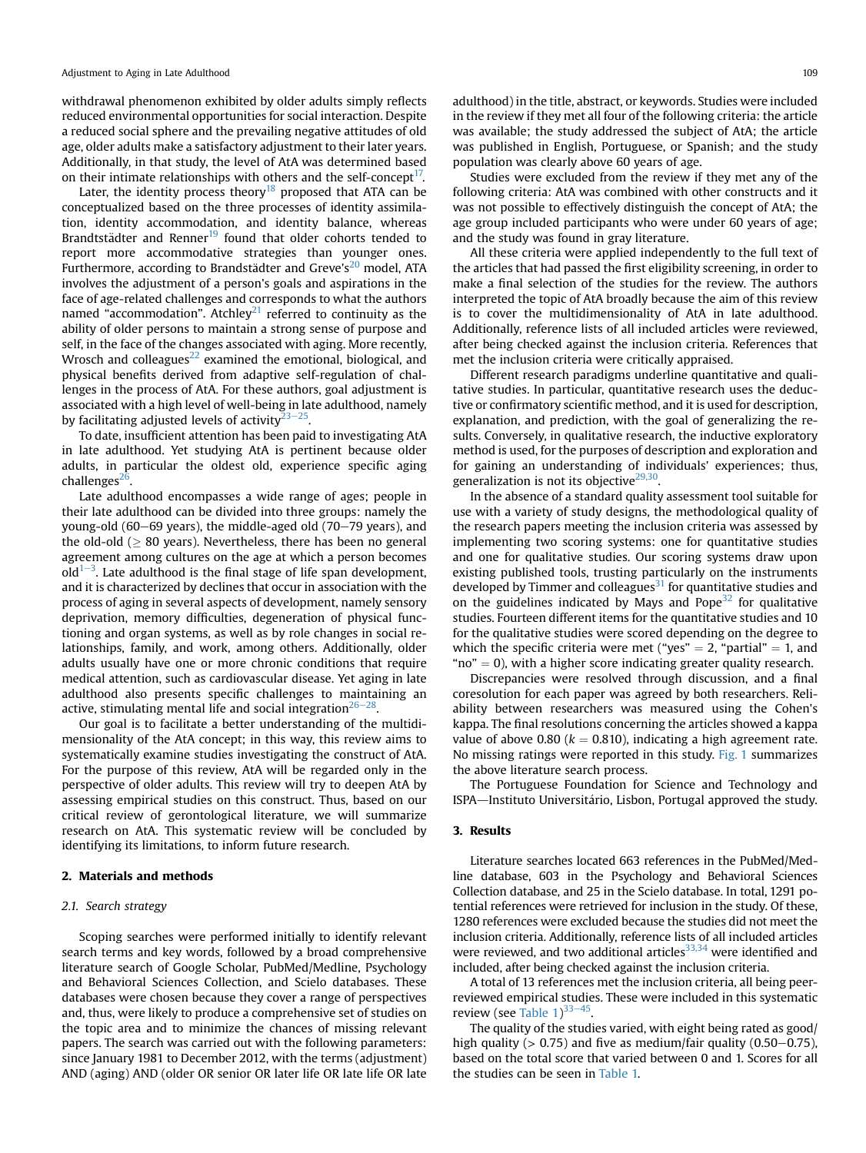withdrawal phenomenon exhibited by older adults simply reflects reduced environmental opportunities for social interaction. Despite a reduced social sphere and the prevailing negative attitudes of old age, older adults make a satisfactory adjustment to their later years. Additionally, in that study, the level of AtA was determined based on their intimate relationships with others and the self-concept<sup>17</sup>.

Later, the identity process theory<sup>[18](#page-5-0)</sup> proposed that ATA can be conceptualized based on the three processes of identity assimilation, identity accommodation, and identity balance, whereas Brandtstädter and Renner<sup>[19](#page-5-0)</sup> found that older cohorts tended to report more accommodative strategies than younger ones. Furthermore, according to Brandstädter and Greve's $^{20}$  $^{20}$  $^{20}$  model, ATA involves the adjustment of a person's goals and aspirations in the face of age-related challenges and corresponds to what the authors named "accommodation". Atchley<sup>21</sup> referred to continuity as the ability of older persons to maintain a strong sense of purpose and self, in the face of the changes associated with aging. More recently, Wrosch and colleagues $^{22}$  $^{22}$  $^{22}$  examined the emotional, biological, and physical benefits derived from adaptive self-regulation of challenges in the process of AtA. For these authors, goal adjustment is associated with a high level of well-being in late adulthood, namely by facilitating adjusted levels of activity $23-25$  $23-25$  $23-25$ .

To date, insufficient attention has been paid to investigating AtA in late adulthood. Yet studying AtA is pertinent because older adults, in particular the oldest old, experience specific aging challenges $^{26}$  $^{26}$  $^{26}$ .

Late adulthood encompasses a wide range of ages; people in their late adulthood can be divided into three groups: namely the young-old (60 $-69$  years), the middle-aged old (70 $-79$  years), and the old-old ( $> 80$  years). Nevertheless, there has been no general agreement among cultures on the age at which a person becomes  $\frac{1}{\text{old}}$  Late adulthood is the final stage of life span development, and it is characterized by declines that occur in association with the process of aging in several aspects of development, namely sensory deprivation, memory difficulties, degeneration of physical functioning and organ systems, as well as by role changes in social relationships, family, and work, among others. Additionally, older adults usually have one or more chronic conditions that require medical attention, such as cardiovascular disease. Yet aging in late adulthood also presents specific challenges to maintaining an active, stimulating mental life and social integration $26-28$ .

Our goal is to facilitate a better understanding of the multidimensionality of the AtA concept; in this way, this review aims to systematically examine studies investigating the construct of AtA. For the purpose of this review, AtA will be regarded only in the perspective of older adults. This review will try to deepen AtA by assessing empirical studies on this construct. Thus, based on our critical review of gerontological literature, we will summarize research on AtA. This systematic review will be concluded by identifying its limitations, to inform future research.

# 2. Materials and methods

# 2.1. Search strategy

Scoping searches were performed initially to identify relevant search terms and key words, followed by a broad comprehensive literature search of Google Scholar, PubMed/Medline, Psychology and Behavioral Sciences Collection, and Scielo databases. These databases were chosen because they cover a range of perspectives and, thus, were likely to produce a comprehensive set of studies on the topic area and to minimize the chances of missing relevant papers. The search was carried out with the following parameters: since January 1981 to December 2012, with the terms (adjustment) AND (aging) AND (older OR senior OR later life OR late life OR late adulthood) in the title, abstract, or keywords. Studies were included in the review if they met all four of the following criteria: the article was available; the study addressed the subject of AtA; the article was published in English, Portuguese, or Spanish; and the study population was clearly above 60 years of age.

Studies were excluded from the review if they met any of the following criteria: AtA was combined with other constructs and it was not possible to effectively distinguish the concept of AtA; the age group included participants who were under 60 years of age; and the study was found in gray literature.

All these criteria were applied independently to the full text of the articles that had passed the first eligibility screening, in order to make a final selection of the studies for the review. The authors interpreted the topic of AtA broadly because the aim of this review is to cover the multidimensionality of AtA in late adulthood. Additionally, reference lists of all included articles were reviewed, after being checked against the inclusion criteria. References that met the inclusion criteria were critically appraised.

Different research paradigms underline quantitative and qualitative studies. In particular, quantitative research uses the deductive or confirmatory scientific method, and it is used for description, explanation, and prediction, with the goal of generalizing the results. Conversely, in qualitative research, the inductive exploratory method is used, for the purposes of description and exploration and for gaining an understanding of individuals' experiences; thus, generalization is not its objective $29,30$ .

In the absence of a standard quality assessment tool suitable for use with a variety of study designs, the methodological quality of the research papers meeting the inclusion criteria was assessed by implementing two scoring systems: one for quantitative studies and one for qualitative studies. Our scoring systems draw upon existing published tools, trusting particularly on the instruments developed by Timmer and colleagues $31$  for quantitative studies and on the guidelines indicated by Mays and Pope $32$  for qualitative studies. Fourteen different items for the quantitative studies and 10 for the qualitative studies were scored depending on the degree to which the specific criteria were met ("yes"  $=$  2, "partial"  $=$  1, and " $no" = 0$ ), with a higher score indicating greater quality research.

Discrepancies were resolved through discussion, and a final coresolution for each paper was agreed by both researchers. Reliability between researchers was measured using the Cohen's kappa. The final resolutions concerning the articles showed a kappa value of above 0.80 ( $k = 0.810$ ), indicating a high agreement rate. No missing ratings were reported in this study. [Fig. 1](#page-2-0) summarizes the above literature search process.

The Portuguese Foundation for Science and Technology and ISPA-Instituto Universitário, Lisbon, Portugal approved the study.

## 3. Results

Literature searches located 663 references in the PubMed/Medline database, 603 in the Psychology and Behavioral Sciences Collection database, and 25 in the Scielo database. In total, 1291 potential references were retrieved for inclusion in the study. Of these, 1280 references were excluded because the studies did not meet the inclusion criteria. Additionally, reference lists of all included articles were reviewed, and two additional articles $33,34$  were identified and included, after being checked against the inclusion criteria.

A total of 13 references met the inclusion criteria, all being peerreviewed empirical studies. These were included in this systematic review (see Table  $1)^{33-45}$  $1)^{33-45}$  $1)^{33-45}$  $1)^{33-45}$  $1)^{33-45}$ .

The quality of the studies varied, with eight being rated as good/ high quality ( $> 0.75$ ) and five as medium/fair quality ( $0.50-0.75$ ), based on the total score that varied between 0 and 1. Scores for all the studies can be seen in [Table 1.](#page-3-0)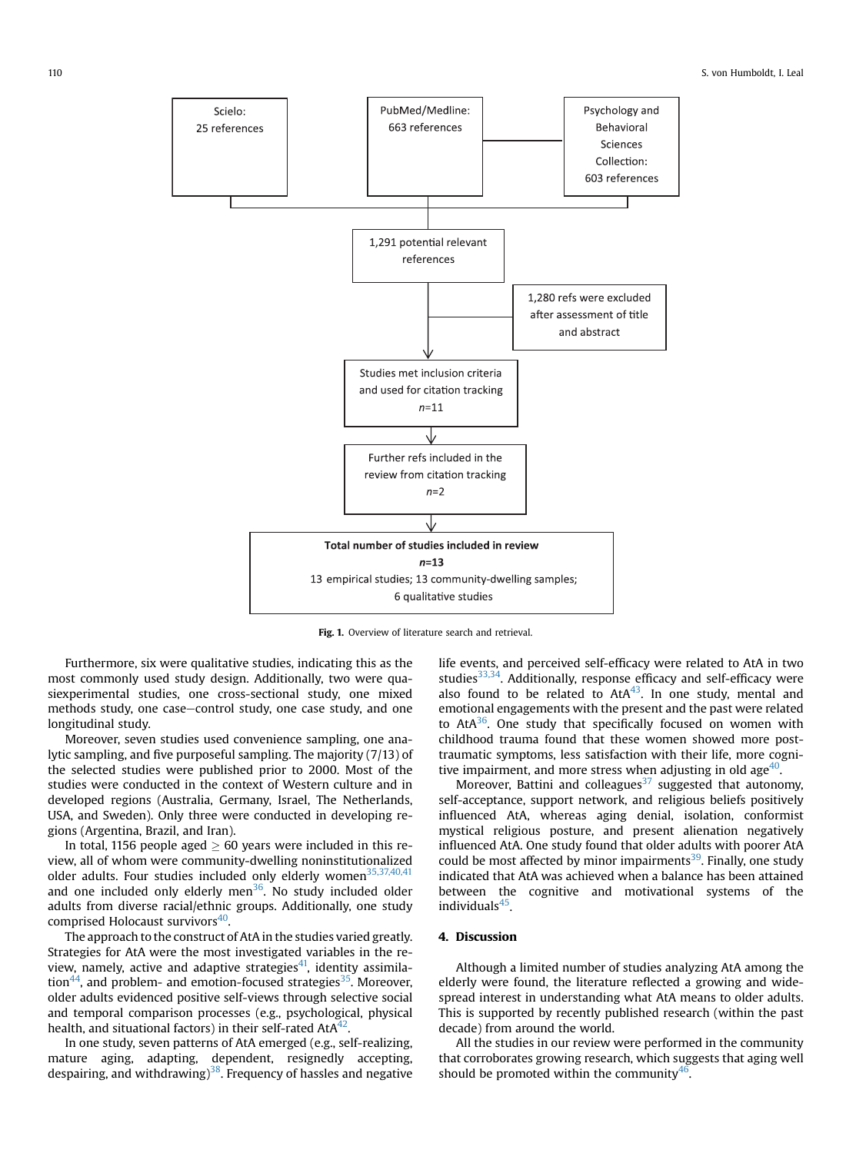<span id="page-2-0"></span>

Fig. 1. Overview of literature search and retrieval.

Furthermore, six were qualitative studies, indicating this as the most commonly used study design. Additionally, two were quasiexperimental studies, one cross-sectional study, one mixed methods study, one case-control study, one case study, and one longitudinal study.

Moreover, seven studies used convenience sampling, one analytic sampling, and five purposeful sampling. The majority (7/13) of the selected studies were published prior to 2000. Most of the studies were conducted in the context of Western culture and in developed regions (Australia, Germany, Israel, The Netherlands, USA, and Sweden). Only three were conducted in developing regions (Argentina, Brazil, and Iran).

In total, 1156 people aged  $> 60$  years were included in this review, all of whom were community-dwelling noninstitutionalized older adults. Four studies included only elderly women<sup>35,37,40,41</sup> and one included only elderly men<sup>36</sup>. No study included older adults from diverse racial/ethnic groups. Additionally, one study comprised Holocaust survivors<sup>40</sup>

The approach to the construct of AtA in the studies varied greatly. Strategies for AtA were the most investigated variables in the review, namely, active and adaptive strategies $41$ , identity assimila-tion<sup>[44](#page-5-0)</sup>, and problem- and emotion-focused strategies<sup>35</sup>. Moreover, older adults evidenced positive self-views through selective social and temporal comparison processes (e.g., psychological, physical health, and situational factors) in their self-rated  $A t A^{42}$ .

In one study, seven patterns of AtA emerged (e.g., self-realizing, mature aging, adapting, dependent, resignedly accepting, despairing, and withdrawing)<sup>38</sup>. Frequency of hassles and negative life events, and perceived self-efficacy were related to AtA in two studies $33,34$ . Additionally, response efficacy and self-efficacy were also found to be related to  $A t A^{43}$ . In one study, mental and emotional engagements with the present and the past were related to  $AtA^{36}$  $AtA^{36}$  $AtA^{36}$ . One study that specifically focused on women with childhood trauma found that these women showed more posttraumatic symptoms, less satisfaction with their life, more cognitive impairment, and more stress when adjusting in old age $40$ .

Moreover, Battini and colleagues $37$  suggested that autonomy, self-acceptance, support network, and religious beliefs positively influenced AtA, whereas aging denial, isolation, conformist mystical religious posture, and present alienation negatively influenced AtA. One study found that older adults with poorer AtA could be most affected by minor impairments<sup>39</sup>. Finally, one study indicated that AtA was achieved when a balance has been attained between the cognitive and motivational systems of the individuals<sup>45</sup>.

# 4. Discussion

Although a limited number of studies analyzing AtA among the elderly were found, the literature reflected a growing and widespread interest in understanding what AtA means to older adults. This is supported by recently published research (within the past decade) from around the world.

All the studies in our review were performed in the community that corroborates growing research, which suggests that aging well should be promoted within the community $46$ .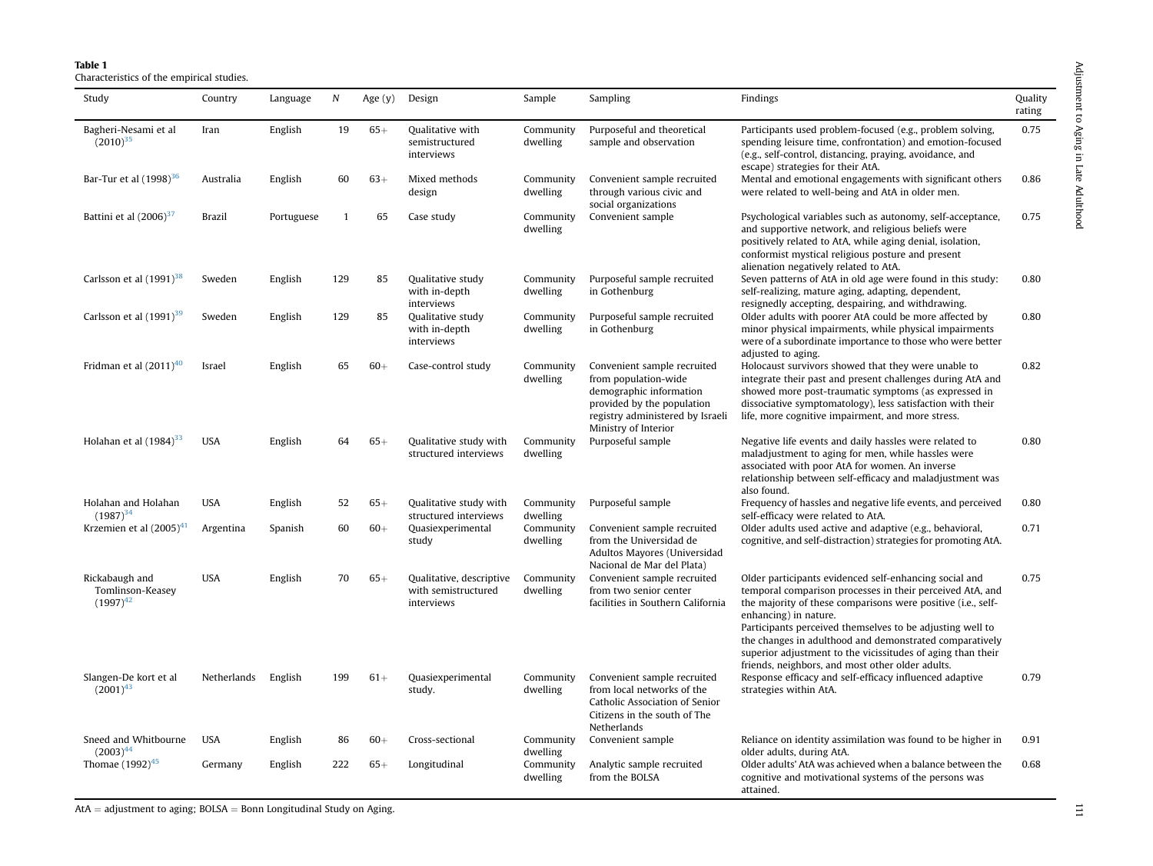| $\frac{1}{2}$  |  |
|----------------|--|
| ć<br>j         |  |
| 5<br>E<br>דינו |  |
| $\lambda$      |  |

<span id="page-3-0"></span>Table 1Characteristics of the empirical studies.

| Study                                               | Country       | Language   | $\boldsymbol{N}$ | Age $(y)$ | Design                                                        | Sample                | Sampling                                                                                                                                                                 | Findings                                                                                                                                                                                                                                                                                                                                                                                                                                                | Quality<br>rating |
|-----------------------------------------------------|---------------|------------|------------------|-----------|---------------------------------------------------------------|-----------------------|--------------------------------------------------------------------------------------------------------------------------------------------------------------------------|---------------------------------------------------------------------------------------------------------------------------------------------------------------------------------------------------------------------------------------------------------------------------------------------------------------------------------------------------------------------------------------------------------------------------------------------------------|-------------------|
| Bagheri-Nesami et al<br>$(2010)^{35}$               | Iran          | English    | 19               | $65+$     | Qualitative with<br>semistructured<br>interviews              | Community<br>dwelling | Purposeful and theoretical<br>sample and observation                                                                                                                     | Participants used problem-focused (e.g., problem solving,<br>spending leisure time, confrontation) and emotion-focused<br>(e.g., self-control, distancing, praying, avoidance, and<br>escape) strategies for their AtA.                                                                                                                                                                                                                                 | 0.75              |
| Bar-Tur et al (1998) <sup>36</sup>                  | Australia     | English    | 60               | $63+$     | Mixed methods<br>design                                       | Community<br>dwelling | Convenient sample recruited<br>through various civic and<br>social organizations                                                                                         | Mental and emotional engagements with significant others<br>were related to well-being and AtA in older men.                                                                                                                                                                                                                                                                                                                                            | 0.86              |
| Battini et al $(2006)^{37}$                         | <b>Brazil</b> | Portuguese | 1                | 65        | Case study                                                    | Community<br>dwelling | Convenient sample                                                                                                                                                        | Psychological variables such as autonomy, self-acceptance,<br>and supportive network, and religious beliefs were<br>positively related to AtA, while aging denial, isolation,<br>conformist mystical religious posture and present<br>alienation negatively related to AtA.                                                                                                                                                                             | 0.75              |
| Carlsson et al $(1991)^{38}$                        | Sweden        | English    | 129              | 85        | Qualitative study<br>with in-depth<br>interviews              | Community<br>dwelling | Purposeful sample recruited<br>in Gothenburg                                                                                                                             | Seven patterns of AtA in old age were found in this study:<br>self-realizing, mature aging, adapting, dependent,<br>resignedly accepting, despairing, and withdrawing.                                                                                                                                                                                                                                                                                  | 0.80              |
| Carlsson et al (1991) <sup>39</sup>                 | Sweden        | English    | 129              | 85        | Qualitative study<br>with in-depth<br>interviews              | Community<br>dwelling | Purposeful sample recruited<br>in Gothenburg                                                                                                                             | Older adults with poorer AtA could be more affected by<br>minor physical impairments, while physical impairments<br>were of a subordinate importance to those who were better<br>adjusted to aging.                                                                                                                                                                                                                                                     | 0.80              |
| Fridman et al $(2011)^{40}$                         | Israel        | English    | 65               | $60+$     | Case-control study                                            | Community<br>dwelling | Convenient sample recruited<br>from population-wide<br>demographic information<br>provided by the population<br>registry administered by Israeli<br>Ministry of Interior | Holocaust survivors showed that they were unable to<br>integrate their past and present challenges during AtA and<br>showed more post-traumatic symptoms (as expressed in<br>dissociative symptomatology), less satisfaction with their<br>life, more cognitive impairment, and more stress.                                                                                                                                                            | 0.82              |
| Holahan et al $(1984)^{33}$                         | <b>USA</b>    | English    | 64               | $65+$     | Qualitative study with<br>structured interviews               | Community<br>dwelling | Purposeful sample                                                                                                                                                        | Negative life events and daily hassles were related to<br>maladjustment to aging for men, while hassles were<br>associated with poor AtA for women. An inverse<br>relationship between self-efficacy and maladjustment was<br>also found.                                                                                                                                                                                                               | 0.80              |
| Holahan and Holahan<br>$(1987)^{34}$                | <b>USA</b>    | English    | 52               | $65+$     | Qualitative study with<br>structured interviews               | Community<br>dwelling | Purposeful sample                                                                                                                                                        | Frequency of hassles and negative life events, and perceived<br>self-efficacy were related to AtA.                                                                                                                                                                                                                                                                                                                                                      | 0.80              |
| Krzemien et al $(2005)^{41}$                        | Argentina     | Spanish    | 60               | $60+$     | Quasiexperimental<br>study                                    | Community<br>dwelling | Convenient sample recruited<br>from the Universidad de<br>Adultos Mayores (Universidad<br>Nacional de Mar del Plata)                                                     | Older adults used active and adaptive (e.g., behavioral,<br>cognitive, and self-distraction) strategies for promoting AtA.                                                                                                                                                                                                                                                                                                                              | 0.71              |
| Rickabaugh and<br>Tomlinson-Keasey<br>$(1997)^{42}$ | <b>USA</b>    | English    | 70               | $65+$     | Qualitative, descriptive<br>with semistructured<br>interviews | Community<br>dwelling | Convenient sample recruited<br>from two senior center<br>facilities in Southern California                                                                               | Older participants evidenced self-enhancing social and<br>temporal comparison processes in their perceived AtA, and<br>the majority of these comparisons were positive (i.e., self-<br>enhancing) in nature.<br>Participants perceived themselves to be adjusting well to<br>the changes in adulthood and demonstrated comparatively<br>superior adjustment to the vicissitudes of aging than their<br>friends, neighbors, and most other older adults. | 0.75              |
| Slangen-De kort et al<br>$(2001)^{43}$              | Netherlands   | English    | 199              | $61+$     | Quasiexperimental<br>study.                                   | Community<br>dwelling | Convenient sample recruited<br>from local networks of the<br>Catholic Association of Senior<br>Citizens in the south of The<br>Netherlands                               | Response efficacy and self-efficacy influenced adaptive<br>strategies within AtA.                                                                                                                                                                                                                                                                                                                                                                       | 0.79              |
| Sneed and Whitbourne<br>$(2003)^{44}$               | <b>USA</b>    | English    | 86               | $60+$     | Cross-sectional                                               | Community<br>dwelling | Convenient sample                                                                                                                                                        | Reliance on identity assimilation was found to be higher in<br>older adults, during AtA.                                                                                                                                                                                                                                                                                                                                                                | 0.91              |
| Thomae $(1992)^{45}$                                | Germany       | English    | 222              | $65+$     | Longitudinal                                                  | Community<br>dwelling | Analytic sample recruited<br>from the BOLSA                                                                                                                              | Older adults' AtA was achieved when a balance between the<br>cognitive and motivational systems of the persons was<br>attained.                                                                                                                                                                                                                                                                                                                         | 0.68              |

 $AtA =$  adjustment to aging; BOLSA  $=$  Bonn Longitudinal Study on Aging.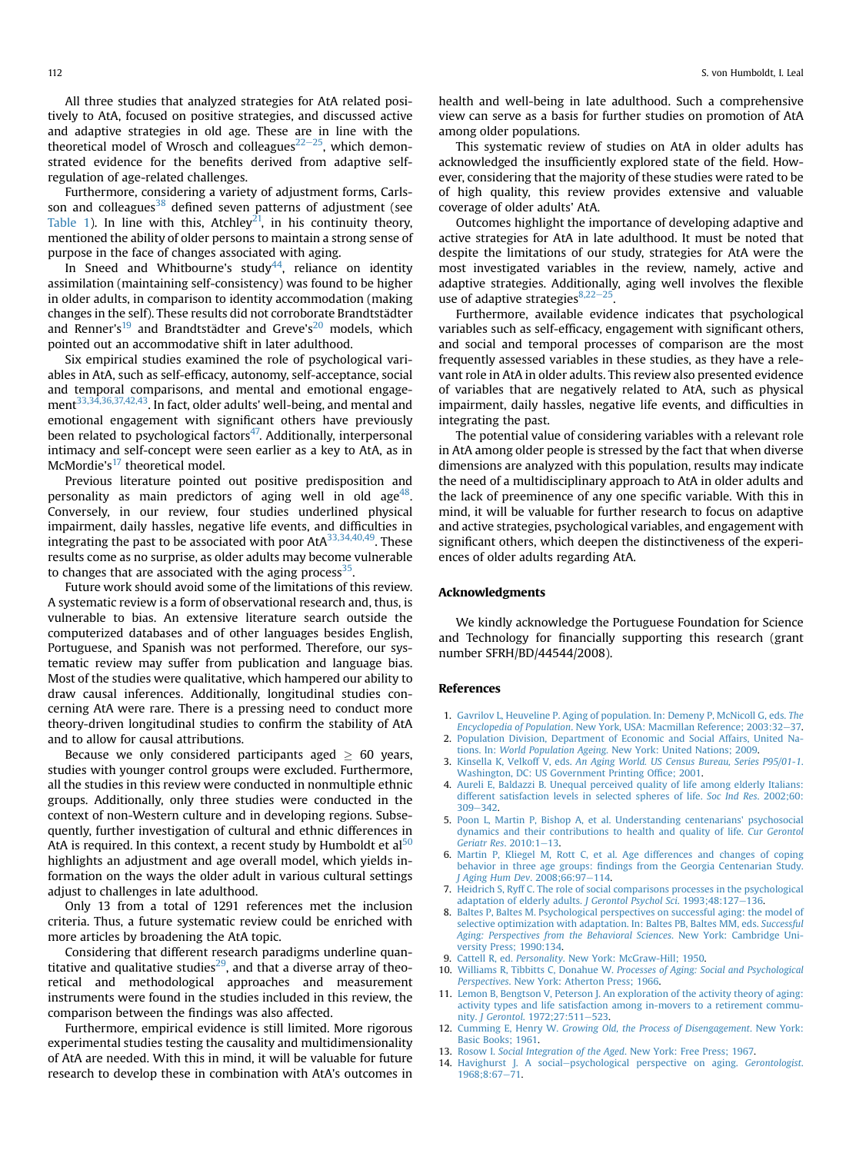<span id="page-4-0"></span>All three studies that analyzed strategies for AtA related positively to AtA, focused on positive strategies, and discussed active and adaptive strategies in old age. These are in line with the theoretical model of Wrosch and colleagues $22-25$  $22-25$  $22-25$ , which demonstrated evidence for the benefits derived from adaptive selfregulation of age-related challenges.

Furthermore, considering a variety of adjustment forms, Carls-son and colleagues<sup>[38](#page-5-0)</sup> defined seven patterns of adjustment (see [Table 1](#page-3-0)). In line with this, Atchley<sup>21</sup>, in his continuity theory, mentioned the ability of older persons to maintain a strong sense of purpose in the face of changes associated with aging.

In Sneed and Whitbourne's study<sup>[44](#page-5-0)</sup>, reliance on identity assimilation (maintaining self-consistency) was found to be higher in older adults, in comparison to identity accommodation (making changes in the self). These results did not corroborate Brandtstädter and Renner's<sup>[19](#page-5-0)</sup> and Brandtstädter and Greve's<sup>[20](#page-5-0)</sup> models, which pointed out an accommodative shift in later adulthood.

Six empirical studies examined the role of psychological variables in AtA, such as self-efficacy, autonomy, self-acceptance, social and temporal comparisons, and mental and emotional engagement<sup>33,34,36,37,42,43</sup>. In fact, older adults' well-being, and mental and emotional engagement with significant others have previously been related to psychological factors $47$ . Additionally, interpersonal intimacy and self-concept were seen earlier as a key to AtA, as in McMordie's $17$  theoretical model.

Previous literature pointed out positive predisposition and personality as main predictors of aging well in old age<sup>48</sup>. Conversely, in our review, four studies underlined physical impairment, daily hassles, negative life events, and difficulties in integrating the past to be associated with poor  $A t A^{33,34,40,49}$ . These results come as no surprise, as older adults may become vulnerable to changes that are associated with the aging process<sup>[35](#page-5-0)</sup>

Future work should avoid some of the limitations of this review. A systematic review is a form of observational research and, thus, is vulnerable to bias. An extensive literature search outside the computerized databases and of other languages besides English, Portuguese, and Spanish was not performed. Therefore, our systematic review may suffer from publication and language bias. Most of the studies were qualitative, which hampered our ability to draw causal inferences. Additionally, longitudinal studies concerning AtA were rare. There is a pressing need to conduct more theory-driven longitudinal studies to confirm the stability of AtA and to allow for causal attributions.

Because we only considered participants aged  $\geq 60$  years, studies with younger control groups were excluded. Furthermore, all the studies in this review were conducted in nonmultiple ethnic groups. Additionally, only three studies were conducted in the context of non-Western culture and in developing regions. Subsequently, further investigation of cultural and ethnic differences in AtA is required. In this context, a recent study by Humboldt et al<sup>[50](#page-5-0)</sup> highlights an adjustment and age overall model, which yields information on the ways the older adult in various cultural settings adjust to challenges in late adulthood.

Only 13 from a total of 1291 references met the inclusion criteria. Thus, a future systematic review could be enriched with more articles by broadening the AtA topic.

Considering that different research paradigms underline quan-titative and qualitative studies<sup>[29](#page-5-0)</sup>, and that a diverse array of theoretical and methodological approaches and measurement instruments were found in the studies included in this review, the comparison between the findings was also affected.

Furthermore, empirical evidence is still limited. More rigorous experimental studies testing the causality and multidimensionality of AtA are needed. With this in mind, it will be valuable for future research to develop these in combination with AtA's outcomes in health and well-being in late adulthood. Such a comprehensive view can serve as a basis for further studies on promotion of AtA among older populations.

This systematic review of studies on AtA in older adults has acknowledged the insufficiently explored state of the field. However, considering that the majority of these studies were rated to be of high quality, this review provides extensive and valuable coverage of older adults' AtA.

Outcomes highlight the importance of developing adaptive and active strategies for AtA in late adulthood. It must be noted that despite the limitations of our study, strategies for AtA were the most investigated variables in the review, namely, active and adaptive strategies. Additionally, aging well involves the flexible use of adaptive strategies $8,22-25$ .

Furthermore, available evidence indicates that psychological variables such as self-efficacy, engagement with significant others, and social and temporal processes of comparison are the most frequently assessed variables in these studies, as they have a relevant role in AtA in older adults. This review also presented evidence of variables that are negatively related to AtA, such as physical impairment, daily hassles, negative life events, and difficulties in integrating the past.

The potential value of considering variables with a relevant role in AtA among older people is stressed by the fact that when diverse dimensions are analyzed with this population, results may indicate the need of a multidisciplinary approach to AtA in older adults and the lack of preeminence of any one specific variable. With this in mind, it will be valuable for further research to focus on adaptive and active strategies, psychological variables, and engagement with significant others, which deepen the distinctiveness of the experiences of older adults regarding AtA.

### Acknowledgments

We kindly acknowledge the Portuguese Foundation for Science and Technology for financially supporting this research (grant number SFRH/BD/44544/2008).

#### References

- 1. [Gavrilov L, Heuveline P. Aging of population. In: Demeny P, McNicoll G, eds.](http://refhub.elsevier.com/S1873-9598(14)00058-1/sref1) The Encyclopedia of Population[. New York, USA: Macmillan Reference; 2003:32](http://refhub.elsevier.com/S1873-9598(14)00058-1/sref1)-[37](http://refhub.elsevier.com/S1873-9598(14)00058-1/sref1).
- 2. [Population Division, Department of Economic and Social Affairs, United Na](http://refhub.elsevier.com/S1873-9598(14)00058-1/sref2)tions. In: World Population Ageing[. New York: United Nations; 2009](http://refhub.elsevier.com/S1873-9598(14)00058-1/sref2).
- 3. Kinsella K, Velkoff V, eds. [An Aging World. US Census Bureau, Series P95/01-1](http://refhub.elsevier.com/S1873-9598(14)00058-1/sref3). [Washington, DC: US Government Printing Of](http://refhub.elsevier.com/S1873-9598(14)00058-1/sref3)fice; 2001.
- 4. [Aureli E, Baldazzi B. Unequal perceived quality of life among elderly Italians:](http://refhub.elsevier.com/S1873-9598(14)00058-1/sref4) [different satisfaction levels in selected spheres of life.](http://refhub.elsevier.com/S1873-9598(14)00058-1/sref4) Soc Ind Res. 2002;60:  $309 - 342$  $309 - 342$  $309 - 342$ .
- 5. [Poon L, Martin P, Bishop A, et al. Understanding centenarians' psychosocial](http://refhub.elsevier.com/S1873-9598(14)00058-1/sref5) [dynamics and their contributions to health and quality of life.](http://refhub.elsevier.com/S1873-9598(14)00058-1/sref5) Cur Gerontol [Geriatr Res](http://refhub.elsevier.com/S1873-9598(14)00058-1/sref5).  $2010:1-13$  $2010:1-13$ .
- 6. [Martin P, Kliegel M, Rott C, et al. Age differences and changes of coping](http://refhub.elsevier.com/S1873-9598(14)00058-1/sref6) behavior in three age groups: fi[ndings from the Georgia Centenarian Study.](http://refhub.elsevier.com/S1873-9598(14)00058-1/sref6) [J Aging Hum Dev](http://refhub.elsevier.com/S1873-9598(14)00058-1/sref6). 2008;66:97-[114.](http://refhub.elsevier.com/S1873-9598(14)00058-1/sref6)
- 7. [Heidrich S, Ryff C. The role of social comparisons processes in the psychological](http://refhub.elsevier.com/S1873-9598(14)00058-1/sref7) [adaptation of elderly adults.](http://refhub.elsevier.com/S1873-9598(14)00058-1/sref7) J Gerontol Psychol Sci. 1993;48:127-[136.](http://refhub.elsevier.com/S1873-9598(14)00058-1/sref7)
- 8. [Baltes P, Baltes M. Psychological perspectives on successful aging: the model of](http://refhub.elsevier.com/S1873-9598(14)00058-1/sref8) [selective optimization with adaptation. In: Baltes PB, Baltes MM, eds.](http://refhub.elsevier.com/S1873-9598(14)00058-1/sref8) Successful [Aging: Perspectives from the Behavioral Sciences](http://refhub.elsevier.com/S1873-9598(14)00058-1/sref8). New York: Cambridge Uni[versity Press; 1990:134](http://refhub.elsevier.com/S1873-9598(14)00058-1/sref8).
- 9. Cattell R, ed. Personality[. New York: McGraw-Hill; 1950.](http://refhub.elsevier.com/S1873-9598(14)00058-1/sref9) 10. Williams R, Tibbitts C, Donahue W. [Processes of Aging: Social and Psychological](http://refhub.elsevier.com/S1873-9598(14)00058-1/sref10) Perspectives[. New York: Atherton Press; 1966](http://refhub.elsevier.com/S1873-9598(14)00058-1/sref10).
- 11. [Lemon B, Bengtson V, Peterson J. An exploration of the activity theory of aging:](http://refhub.elsevier.com/S1873-9598(14)00058-1/sref11) [activity types and life satisfaction among in-movers to a retirement commu-](http://refhub.elsevier.com/S1873-9598(14)00058-1/sref11)nity. J Gerontol[. 1972;27:511](http://refhub.elsevier.com/S1873-9598(14)00058-1/sref11)-[523.](http://refhub.elsevier.com/S1873-9598(14)00058-1/sref11)
- 12. Cumming E, Henry W. [Growing Old, the Process of Disengagement](http://refhub.elsevier.com/S1873-9598(14)00058-1/sref12). New York: [Basic Books; 1961.](http://refhub.elsevier.com/S1873-9598(14)00058-1/sref12)
- 13. Rosow I. Social Integration of the Aged[. New York: Free Press; 1967.](http://refhub.elsevier.com/S1873-9598(14)00058-1/sref13)
- 14. [Havighurst J. A social](http://refhub.elsevier.com/S1873-9598(14)00058-1/sref14)-[psychological perspective on aging.](http://refhub.elsevier.com/S1873-9598(14)00058-1/sref14) Gerontologist. [1968;8:67](http://refhub.elsevier.com/S1873-9598(14)00058-1/sref14)-[71.](http://refhub.elsevier.com/S1873-9598(14)00058-1/sref14)